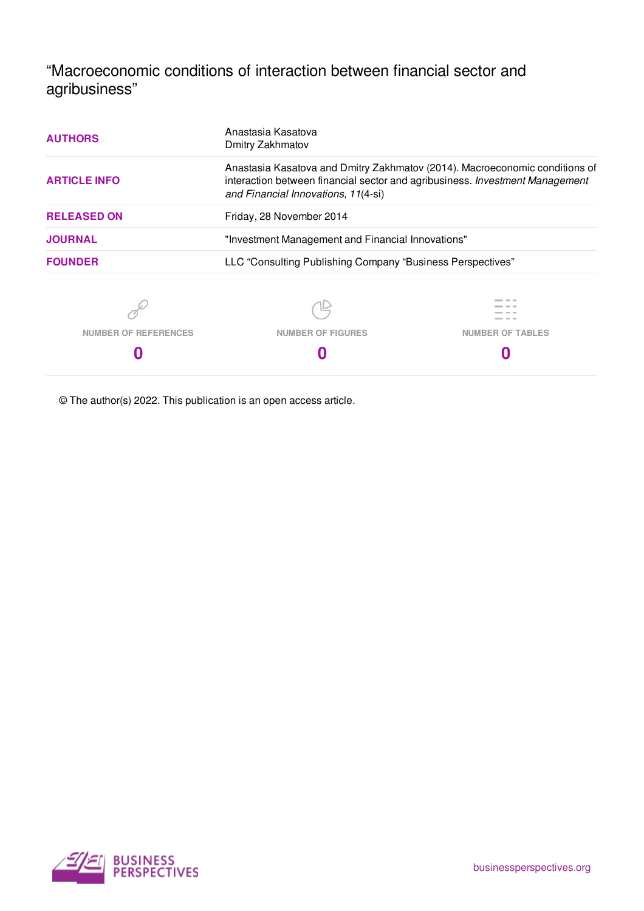"Macroeconomic conditions of interaction between financial sector and agribusiness"

| <b>AUTHORS</b>       | Anastasia Kasatova<br>Dmitry Zakhmatov                     |                                                                                                                                                             |  |  |  |
|----------------------|------------------------------------------------------------|-------------------------------------------------------------------------------------------------------------------------------------------------------------|--|--|--|
| <b>ARTICLE INFO</b>  | and Financial Innovations, 11(4-si)                        | Anastasia Kasatova and Dmitry Zakhmatov (2014). Macroeconomic conditions of<br>interaction between financial sector and agribusiness. Investment Management |  |  |  |
| <b>RELEASED ON</b>   | Friday, 28 November 2014                                   |                                                                                                                                                             |  |  |  |
| <b>JOURNAL</b>       | "Investment Management and Financial Innovations"          |                                                                                                                                                             |  |  |  |
| <b>FOUNDER</b>       | LLC "Consulting Publishing Company "Business Perspectives" |                                                                                                                                                             |  |  |  |
|                      |                                                            |                                                                                                                                                             |  |  |  |
| NUMBER OF REFERENCES | <b>NUMBER OF FIGURES</b>                                   | <b>NUMBER OF TABLES</b>                                                                                                                                     |  |  |  |
|                      |                                                            |                                                                                                                                                             |  |  |  |

© The author(s) 2022. This publication is an open access article.

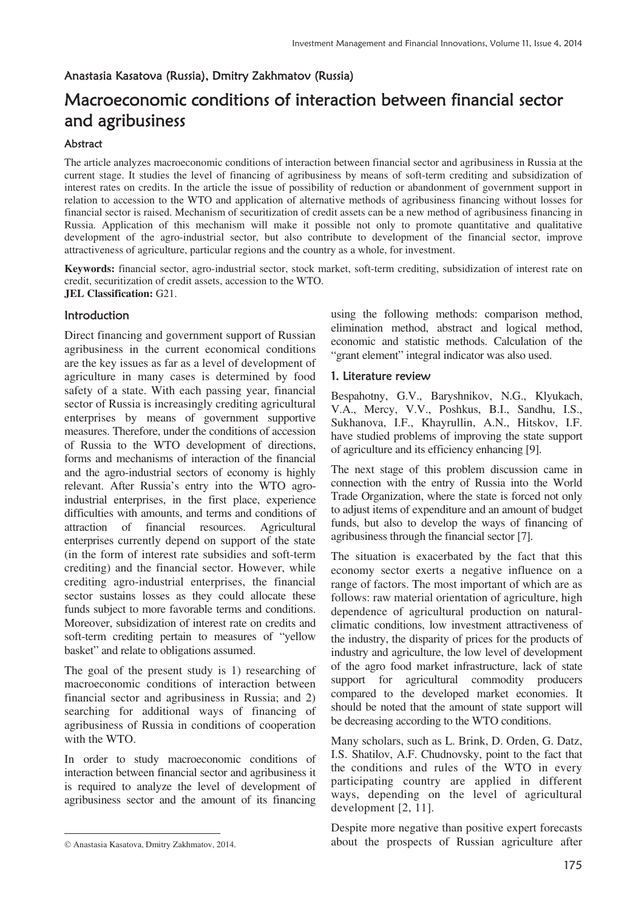## Anastasia Kasatova (Russia), Dmitry Zakhmatov (Russia)

# Macroeconomic conditions of interaction between financial sector and agribusiness

## **Abstract**

The article analyzes macroeconomic conditions of interaction between financial sector and agribusiness in Russia at the current stage. It studies the level of financing of agribusiness by means of soft-term crediting and subsidization of interest rates on credits. In the article the issue of possibility of reduction or abandonment of government support in relation to accession to the WTO and application of alternative methods of agribusiness financing without losses for financial sector is raised. Mechanism of securitization of credit assets can be a new method of agribusiness financing in Russia. Application of this mechanism will make it possible not only to promote quantitative and qualitative development of the agro-industrial sector, but also contribute to development of the financial sector, improve attractiveness of agriculture, particular regions and the country as a whole, for investment.

**Keywords:** financial sector, agro-industrial sector, stock market, soft-term crediting, subsidization of interest rate on credit, securitization of credit assets, accession to the WTO. **JEL Classification:** G21.

# Introduction

Direct financing and government support of Russian agribusiness in the current economical conditions are the key issues as far as a level of development of agriculture in many cases is determined by food safety of a state. With each passing year, financial sector of Russia is increasingly crediting agricultural enterprises by means of government supportive measures. Therefore, under the conditions of accession of Russia to the WTO development of directions, forms and mechanisms of interaction of the financial and the agro-industrial sectors of economy is highly relevant. After Russia's entry into the WTO agroindustrial enterprises, in the first place, experience difficulties with amounts, and terms and conditions of attraction of financial resources. Agricultural enterprises currently depend on support of the state (in the form of interest rate subsidies and soft-term crediting) and the financial sector. However, while crediting agro-industrial enterprises, the financial sector sustains losses as they could allocate these funds subject to more favorable terms and conditions. Moreover, subsidization of interest rate on credits and soft-term crediting pertain to measures of "yellow basket" and relate to obligations assumed.

The goal of the present study is 1) researching of macroeconomic conditions of interaction between financial sector and agribusiness in Russia; and 2) searching for additional ways of financing of agribusiness of Russia in conditions of cooperation with the WTO.

In order to study macroeconomic conditions of interaction between financial sector and agribusiness it is required to analyze the level of development of agribusiness sector and the amount of its financing

<u>.</u>

using the following methods: comparison method, elimination method, abstract and logical method, economic and statistic methods. Calculation of the "grant element" integral indicator was also used.

## 1. Literature review

Bespahotny, G.V., Baryshnikov, N.G., Klyukach, V.A., Mercy, V.V., Poshkus, B.I., Sandhu, I.S., Sukhanova, I.F., Khayrullin, A.N., Hitskov, I.F. have studied problems of improving the state support of agriculture and its efficiency enhancing [9].

The next stage of this problem discussion came in connection with the entry of Russia into the World Trade Organization, where the state is forced not only to adjust items of expenditure and an amount of budget funds, but also to develop the ways of financing of agribusiness through the financial sector [7].

The situation is exacerbated by the fact that this economy sector exerts a negative influence on a range of factors. The most important of which are as follows: raw material orientation of agriculture, high dependence of agricultural production on naturalclimatic conditions, low investment attractiveness of the industry, the disparity of prices for the products of industry and agriculture, the low level of development of the agro food market infrastructure, lack of state support for agricultural commodity producers compared to the developed market economies. It should be noted that the amount of state support will be decreasing according to the WTO conditions.

Many scholars, such as L. Brink, D. Orden, G. Datz, I.S. Shatilov, A.F. Chudnovsky, point to the fact that the conditions and rules of the WTO in every participating country are applied in different ways, depending on the level of agricultural development [2, 11].

Despite more negative than positive expert forecasts about the prospects of Russian agriculture after

Anastasia Kasatova, Dmitry Zakhmatov, 2014.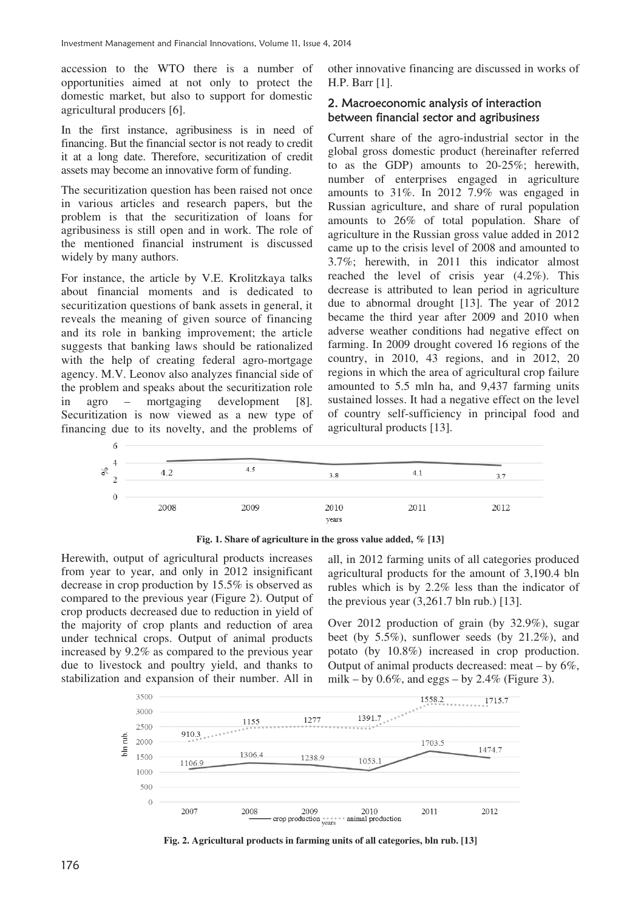accession to the WTO there is a number of opportunities aimed at not only to protect the domestic market, but also to support for domestic agricultural producers [6].

In the first instance, agribusiness is in need of financing. But the financial sector is not ready to credit it at a long date. Therefore, securitization of credit assets may become an innovative form of funding.

The securitization question has been raised not once in various articles and research papers, but the problem is that the securitization of loans for agribusiness is still open and in work. The role of the mentioned financial instrument is discussed widely by many authors.

For instance, the article by V.E. Krolitzkaya talks about financial moments and is dedicated to securitization questions of bank assets in general, it reveals the meaning of given source of financing and its role in banking improvement; the article suggests that banking laws should be rationalized with the help of creating federal agro-mortgage agency. M.V. Leonov also analyzes financial side of the problem and speaks about the securitization role in agro – mortgaging development [8]. Securitization is now viewed as a new type of financing due to its novelty, and the problems of other innovative financing are discussed in works of H.P. Barr [1].

## 2. Macroeconomic analysis of interaction between financial sector and agribusiness

Current share of the agro-industrial sector in the global gross domestic product (hereinafter referred to as the GDP) amounts to 20-25%; herewith, number of enterprises engaged in agriculture amounts to 31%. In 2012 7.9% was engaged in Russian agriculture, and share of rural population amounts to 26% of total population. Share of agriculture in the Russian gross value added in 2012 came up to the crisis level of 2008 and amounted to 3.7%; herewith, in 2011 this indicator almost reached the level of crisis year (4.2%). This decrease is attributed to lean period in agriculture due to abnormal drought [13]. The year of 2012 became the third year after 2009 and 2010 when adverse weather conditions had negative effect on farming. In 2009 drought covered 16 regions of the country, in 2010, 43 regions, and in 2012, 20 regions in which the area of agricultural crop failure amounted to 5.5 mln ha, and 9,437 farming units sustained losses. It had a negative effect on the level of country self-sufficiency in principal food and agricultural products [13].



**Fig. 1. Share of agriculture in the gross value added, % [13]** 

Herewith, output of agricultural products increases from year to year, and only in 2012 insignificant decrease in crop production by 15.5% is observed as compared to the previous year (Figure 2). Output of crop products decreased due to reduction in yield of the majority of crop plants and reduction of area under technical crops. Output of animal products increased by 9.2% as compared to the previous year due to livestock and poultry yield, and thanks to stabilization and expansion of their number. All in

all, in 2012 farming units of all categories produced agricultural products for the amount of 3,190.4 bln rubles which is by 2.2% less than the indicator of the previous year  $(3,261.7 \text{ bh} \cdot \text{rub.})$  [13].

Over 2012 production of grain (by 32.9%), sugar beet (by 5.5%), sunflower seeds (by 21.2%), and potato (by 10.8%) increased in crop production. Output of animal products decreased: meat  $-$  by 6%, milk – by  $0.6\%$ , and eggs – by  $2.4\%$  (Figure 3).



**Fig. 2. Agricultural products in farming units of all categories, bln rub. [13]**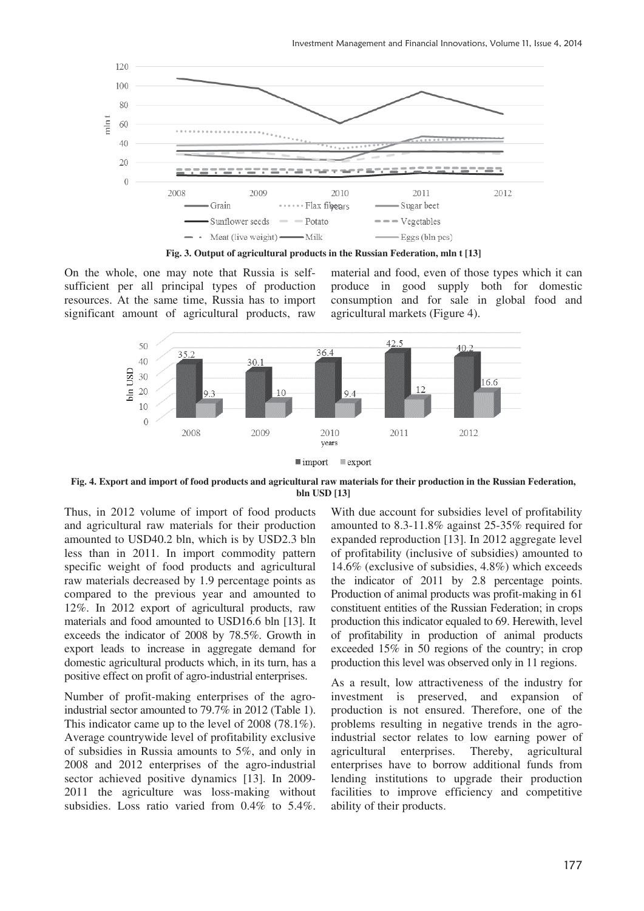

**Fig. 3. Output of agricultural products in the Russian Federation, mln t [13]** 

On the whole, one may note that Russia is selfsufficient per all principal types of production resources. At the same time, Russia has to import significant amount of agricultural products, raw

material and food, even of those types which it can produce in good supply both for domestic consumption and for sale in global food and agricultural markets (Figure 4).



**Fig. 4. Export and import of food products and agricultural raw materials for their production in the Russian Federation, bln USD [13]** 

Thus, in 2012 volume of import of food products and agricultural raw materials for their production amounted to USD40.2 bln, which is by USD2.3 bln less than in 2011. In import commodity pattern specific weight of food products and agricultural raw materials decreased by 1.9 percentage points as compared to the previous year and amounted to 12%. In 2012 export of agricultural products, raw materials and food amounted to USD16.6 bln [13]. It exceeds the indicator of 2008 by 78.5%. Growth in export leads to increase in aggregate demand for domestic agricultural products which, in its turn, has a positive effect on profit of agro-industrial enterprises.

Number of profit-making enterprises of the agroindustrial sector amounted to 79.7% in 2012 (Table 1). This indicator came up to the level of 2008 (78.1%). Average countrywide level of profitability exclusive of subsidies in Russia amounts to 5%, and only in 2008 and 2012 enterprises of the agro-industrial sector achieved positive dynamics [13]. In 2009- 2011 the agriculture was loss-making without subsidies. Loss ratio varied from 0.4% to 5.4%.

With due account for subsidies level of profitability amounted to 8.3-11.8% against 25-35% required for expanded reproduction [13]. In 2012 aggregate level of profitability (inclusive of subsidies) amounted to 14.6% (exclusive of subsidies, 4.8%) which exceeds the indicator of 2011 by 2.8 percentage points. Production of animal products was profit-making in 61 constituent entities of the Russian Federation; in crops production this indicator equaled to 69. Herewith, level of profitability in production of animal products exceeded 15% in 50 regions of the country; in crop production this level was observed only in 11 regions.

As a result, low attractiveness of the industry for investment is preserved, and expansion of production is not ensured. Therefore, one of the problems resulting in negative trends in the agroindustrial sector relates to low earning power of agricultural enterprises. Thereby, agricultural enterprises have to borrow additional funds from lending institutions to upgrade their production facilities to improve efficiency and competitive ability of their products.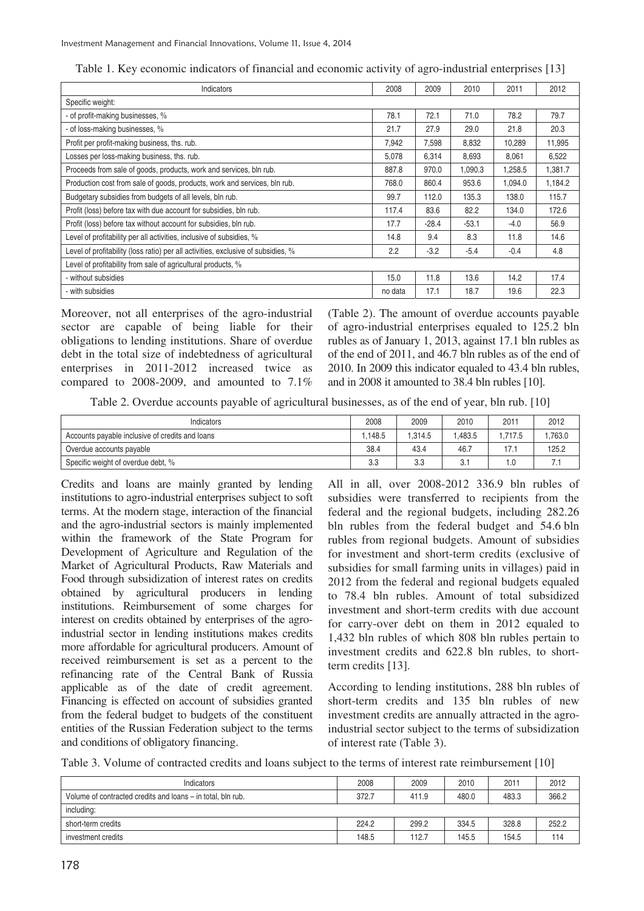| Indicators                                                                        | 2008    | 2009    | 2010    | 2011    | 2012    |
|-----------------------------------------------------------------------------------|---------|---------|---------|---------|---------|
| Specific weight:                                                                  |         |         |         |         |         |
| - of profit-making businesses, %                                                  | 78.1    | 72.1    | 71.0    | 78.2    | 79.7    |
| - of loss-making businesses, %                                                    | 21.7    | 27.9    | 29.0    | 21.8    | 20.3    |
| Profit per profit-making business, ths. rub.                                      | 7,942   | 7,598   | 8,832   | 10,289  | 11,995  |
| Losses per loss-making business, ths. rub.                                        | 5,078   | 6,314   | 8,693   | 8,061   | 6,522   |
| Proceeds from sale of goods, products, work and services, bln rub.                | 887.8   | 970.0   | 1.090.3 | 1,258.5 | 1,381.7 |
| Production cost from sale of goods, products, work and services, bln rub.         | 768.0   | 860.4   | 953.6   | 1,094.0 | 1,184.2 |
| Budgetary subsidies from budgets of all levels, bln rub.                          | 99.7    | 112.0   | 135.3   | 138.0   | 115.7   |
| Profit (loss) before tax with due account for subsidies, bln rub.                 | 117.4   | 83.6    | 82.2    | 134.0   | 172.6   |
| Profit (loss) before tax without account for subsidies, bln rub.                  | 17.7    | $-28.4$ | $-53.1$ | $-4.0$  | 56.9    |
| Level of profitability per all activities, inclusive of subsidies, %              | 14.8    | 9.4     | 8.3     | 11.8    | 14.6    |
| Level of profitability (loss ratio) per all activities, exclusive of subsidies, % | 2.2     | $-3.2$  | $-5.4$  | $-0.4$  | 4.8     |
| Level of profitability from sale of agricultural products, %                      |         |         |         |         |         |
| - without subsidies                                                               | 15.0    | 11.8    | 13.6    | 14.2    | 17.4    |
| - with subsidies                                                                  | no data | 17.1    | 18.7    | 19.6    | 22.3    |

Table 1. Key economic indicators of financial and economic activity of agro-industrial enterprises [13]

Moreover, not all enterprises of the agro-industrial sector are capable of being liable for their obligations to lending institutions. Share of overdue debt in the total size of indebtedness of agricultural enterprises in 2011-2012 increased twice as compared to 2008-2009, and amounted to 7.1%

(Table 2). The amount of overdue accounts payable of agro-industrial enterprises equaled to 125.2 bln rubles as of January 1, 2013, against 17.1 bln rubles as of the end of 2011, and 46.7 bln rubles as of the end of 2010. In 2009 this indicator equaled to 43.4 bln rubles, and in 2008 it amounted to 38.4 bln rubles [10].

Table 2. Overdue accounts payable of agricultural businesses, as of the end of year, bln rub. [10]

| Indicators                                      | 2008   | 2009   | 2010    | 2011                             | 2012   |
|-------------------------------------------------|--------|--------|---------|----------------------------------|--------|
| Accounts payable inclusive of credits and loans | .148.5 | .314.5 | 1.483.5 | .717.5                           | .763.0 |
| Overdue accounts payable                        | 38.4   | 43.4   | 46.7    | $-1$<br>$\overline{\phantom{a}}$ | 125.2  |
| Specific weight of overdue debt, %              | 3.3    | 3.3    |         | . . 0                            | 1.1    |

Credits and loans are mainly granted by lending institutions to agro-industrial enterprises subject to soft terms. At the modern stage, interaction of the financial and the agro-industrial sectors is mainly implemented within the framework of the State Program for Development of Agriculture and Regulation of the Market of Agricultural Products, Raw Materials and Food through subsidization of interest rates on credits obtained by agricultural producers in lending institutions. Reimbursement of some charges for interest on credits obtained by enterprises of the agroindustrial sector in lending institutions makes credits more affordable for agricultural producers. Amount of received reimbursement is set as a percent to the refinancing rate of the Central Bank of Russia applicable as of the date of credit agreement. Financing is effected on account of subsidies granted from the federal budget to budgets of the constituent entities of the Russian Federation subject to the terms and conditions of obligatory financing.

All in all, over 2008-2012 336.9 bln rubles of subsidies were transferred to recipients from the federal and the regional budgets, including 282.26 bln rubles from the federal budget and 54.6 bln rubles from regional budgets. Amount of subsidies for investment and short-term credits (exclusive of subsidies for small farming units in villages) paid in 2012 from the federal and regional budgets equaled to 78.4 bln rubles. Amount of total subsidized investment and short-term credits with due account for carry-over debt on them in 2012 equaled to 1,432 bln rubles of which 808 bln rubles pertain to investment credits and 622.8 bln rubles, to shortterm credits [13].

According to lending institutions, 288 bln rubles of short-term credits and 135 bln rubles of new investment credits are annually attracted in the agroindustrial sector subject to the terms of subsidization of interest rate (Table 3).

|  |  |  |  | Table 3. Volume of contracted credits and loans subject to the terms of interest rate reimbursement [10] |  |
|--|--|--|--|----------------------------------------------------------------------------------------------------------|--|
|  |  |  |  |                                                                                                          |  |

| Indicators                                                  | 2008  | 2009  | 2010  | 2011  | 2012  |
|-------------------------------------------------------------|-------|-------|-------|-------|-------|
| Volume of contracted credits and loans – in total, bln rub. | 372.7 | 411.9 | 480.0 | 483.3 | 366.2 |
| including:                                                  |       |       |       |       |       |
| short-term credits                                          | 224.2 | 299.2 | 334.5 | 328.8 | 252.2 |
| investment credits                                          | 148.5 | 112.7 | 145.5 | 154.5 | 114   |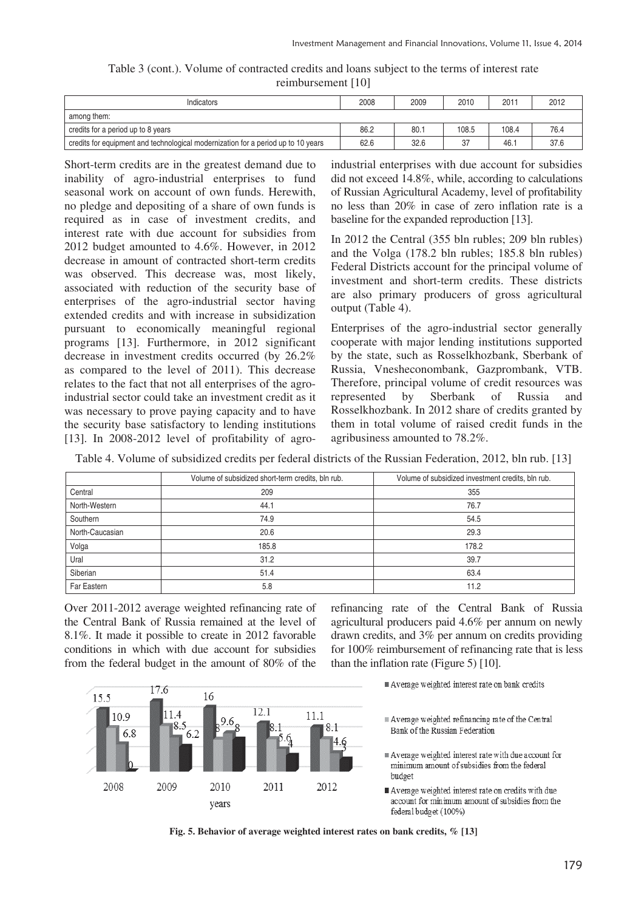| Table 3 (cont.). Volume of contracted credits and loans subject to the terms of interest rate |  |  |
|-----------------------------------------------------------------------------------------------|--|--|
| reimbursement [10]                                                                            |  |  |

| Indicators                                                                        | 2008 | 2009 | 2010  | 2011  | 2012 |
|-----------------------------------------------------------------------------------|------|------|-------|-------|------|
| among them:                                                                       |      |      |       |       |      |
| credits for a period up to 8 years                                                | 86.2 | 80.1 | 108.5 | 108.4 | 76.4 |
| credits for equipment and technological modernization for a period up to 10 years | 62.6 | 32.6 | 37    | 46.1  | 37.6 |

Short-term credits are in the greatest demand due to inability of agro-industrial enterprises to fund seasonal work on account of own funds. Herewith, no pledge and depositing of a share of own funds is required as in case of investment credits, and interest rate with due account for subsidies from 2012 budget amounted to 4.6%. However, in 2012 decrease in amount of contracted short-term credits was observed. This decrease was, most likely, associated with reduction of the security base of enterprises of the agro-industrial sector having extended credits and with increase in subsidization pursuant to economically meaningful regional programs [13]. Furthermore, in 2012 significant decrease in investment credits occurred (by 26.2% as compared to the level of 2011). This decrease relates to the fact that not all enterprises of the agroindustrial sector could take an investment credit as it was necessary to prove paying capacity and to have the security base satisfactory to lending institutions [13]. In 2008-2012 level of profitability of agroindustrial enterprises with due account for subsidies did not exceed 14.8%, while, according to calculations of Russian Agricultural Academy, level of profitability no less than 20% in case of zero inflation rate is a baseline for the expanded reproduction [13].

In 2012 the Central (355 bln rubles; 209 bln rubles) and the Volga (178.2 bln rubles; 185.8 bln rubles) Federal Districts account for the principal volume of investment and short-term credits. These districts are also primary producers of gross agricultural output (Table 4).

Enterprises of the agro-industrial sector generally cooperate with major lending institutions supported by the state, such as Rosselkhozbank, Sberbank of Russia, Vnesheconombank, Gazprombank, VTB. Therefore, principal volume of credit resources was represented by Sberbank of Russia and Rosselkhozbank. In 2012 share of credits granted by them in total volume of raised credit funds in the agribusiness amounted to 78.2%.

Table 4. Volume of subsidized credits per federal districts of the Russian Federation, 2012, bln rub. [13]

|                 | Volume of subsidized short-term credits, bln rub. | Volume of subsidized investment credits, bln rub. |
|-----------------|---------------------------------------------------|---------------------------------------------------|
| Central         | 209                                               | 355                                               |
| North-Western   | 44.1                                              | 76.7                                              |
| Southern        | 74.9                                              | 54.5                                              |
| North-Caucasian | 20.6                                              | 29.3                                              |
| Volga           | 185.8                                             | 178.2                                             |
| Ural            | 31.2                                              | 39.7                                              |
| Siberian        | 51.4                                              | 63.4                                              |
| Far Eastern     | 5.8                                               | 11.2                                              |

Over 2011-2012 average weighted refinancing rate of the Central Bank of Russia remained at the level of 8.1%. It made it possible to create in 2012 favorable conditions in which with due account for subsidies from the federal budget in the amount of 80% of the

16

 $\Omega$ 

2010

years

 $12.1$ 

2011

 $176$ 

11.4

2009

 $8.5$ 

 $6.2$ 

15.5

10.9

2008

6.8

refinancing rate of the Central Bank of Russia agricultural producers paid 4.6% per annum on newly drawn credits, and 3% per annum on credits providing for 100% reimbursement of refinancing rate that is less than the inflation rate (Figure 5) [10].

Average weighted interest rate on bank credits

Average weighted interest rate on credits with due account for minimum amount of subsidies from the federal budget (100%)



2012

11.1

8.1

Average weighted refinancing rate of the Central Bank of the Russian Federation

Average weighted interest rate with due account for minimum amount of subsidies from the federal budget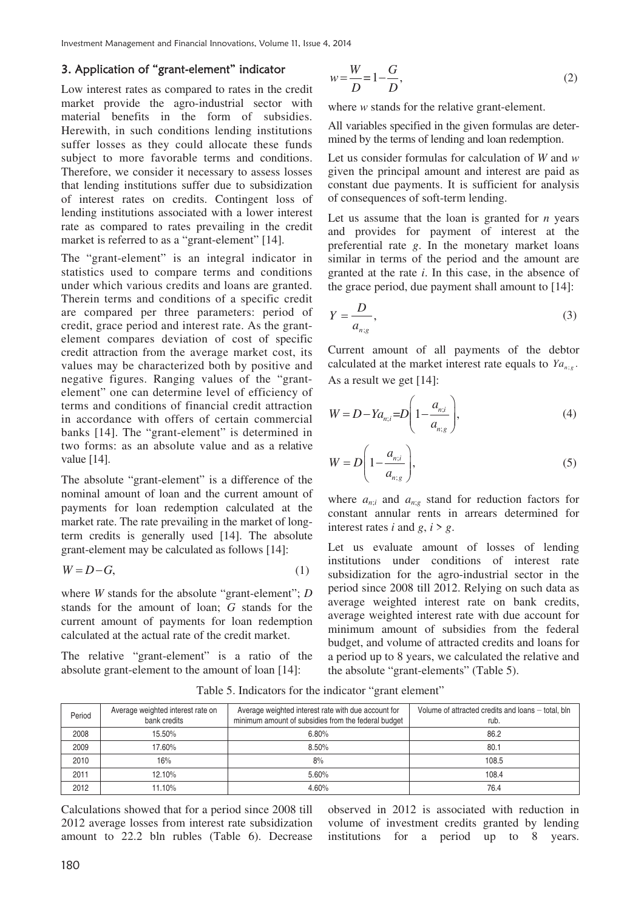## 3. Application of "grant-element" indicator

Low interest rates as compared to rates in the credit market provide the agro-industrial sector with material benefits in the form of subsidies. Herewith, in such conditions lending institutions suffer losses as they could allocate these funds subject to more favorable terms and conditions. Therefore, we consider it necessary to assess losses that lending institutions suffer due to subsidization of interest rates on credits. Contingent loss of lending institutions associated with a lower interest rate as compared to rates prevailing in the credit market is referred to as a "grant-element" [14].

The "grant-element" is an integral indicator in statistics used to compare terms and conditions under which various credits and loans are granted. Therein terms and conditions of a specific credit are compared per three parameters: period of credit, grace period and interest rate. As the grantelement compares deviation of cost of specific credit attraction from the average market cost, its values may be characterized both by positive and negative figures. Ranging values of the "grantelement" one can determine level of efficiency of terms and conditions of financial credit attraction in accordance with offers of certain commercial banks [14]. The "grant-element" is determined in two forms: as an absolute value and as a relative value [14].

The absolute "grant-element" is a difference of the nominal amount of loan and the current amount of payments for loan redemption calculated at the market rate. The rate prevailing in the market of longterm credits is generally used [14]. The absolute grant-element may be calculated as follows [14]:

$$
W = D - G,\tag{1}
$$

where *W* stands for the absolute "grant-element"; *D* stands for the amount of loan; *G* stands for the current amount of payments for loan redemption calculated at the actual rate of the credit market.

The relative "grant-element" is a ratio of the absolute grant-element to the amount of loan [14]:

$$
w = \frac{W}{D} = 1 - \frac{G}{D},\tag{2}
$$

where *w* stands for the relative grant-element.

All variables specified in the given formulas are determined by the terms of lending and loan redemption.

Let us consider formulas for calculation of *W* and *w* given the principal amount and interest are paid as constant due payments. It is sufficient for analysis of consequences of soft-term lending.

Let us assume that the loan is granted for *n* years and provides for payment of interest at the preferential rate *g*. In the monetary market loans similar in terms of the period and the amount are granted at the rate *i*. In this case, in the absence of the grace period, due payment shall amount to [14]:

$$
Y = \frac{D}{a_{n,g}},\tag{3}
$$

Current amount of all payments of the debtor calculated at the market interest rate equals to  $Ya_{n,g}$ . As a result we get [14]:

$$
W = D - Y a_{n;i} = D \left( 1 - \frac{a_{n;i}}{a_{n;q}} \right),
$$
 (4)

$$
W = D\left(1 - \frac{a_{n;i}}{a_{n;g}}\right),\tag{5}
$$

where  $a_{n;i}$  and  $a_{n;g}$  stand for reduction factors for constant annular rents in arrears determined for interest rates *i* and  $g$ ,  $i > g$ .

Let us evaluate amount of losses of lending institutions under conditions of interest rate subsidization for the agro-industrial sector in the period since 2008 till 2012. Relying on such data as average weighted interest rate on bank credits, average weighted interest rate with due account for minimum amount of subsidies from the federal budget, and volume of attracted credits and loans for a period up to 8 years, we calculated the relative and the absolute "grant-elements" (Table 5).

Table 5. Indicators for the indicator "grant element"

| Period | Average weighted interest rate on<br>bank credits | Average weighted interest rate with due account for<br>minimum amount of subsidies from the federal budget | Volume of attracted credits and loans – total, bln<br>rub. |
|--------|---------------------------------------------------|------------------------------------------------------------------------------------------------------------|------------------------------------------------------------|
| 2008   | 15.50%                                            | 6.80%                                                                                                      | 86.2                                                       |
| 2009   | 17.60%                                            | 8.50%                                                                                                      | 80.1                                                       |
| 2010   | 16%                                               | 8%                                                                                                         | 108.5                                                      |
| 2011   | 12.10%                                            | 5.60%                                                                                                      | 108.4                                                      |
| 2012   | 1.10%                                             | 4.60%                                                                                                      | 76.4                                                       |

Calculations showed that for a period since 2008 till 2012 average losses from interest rate subsidization amount to 22.2 bln rubles (Table 6). Decrease

observed in 2012 is associated with reduction in volume of investment credits granted by lending institutions for a period up to 8 years.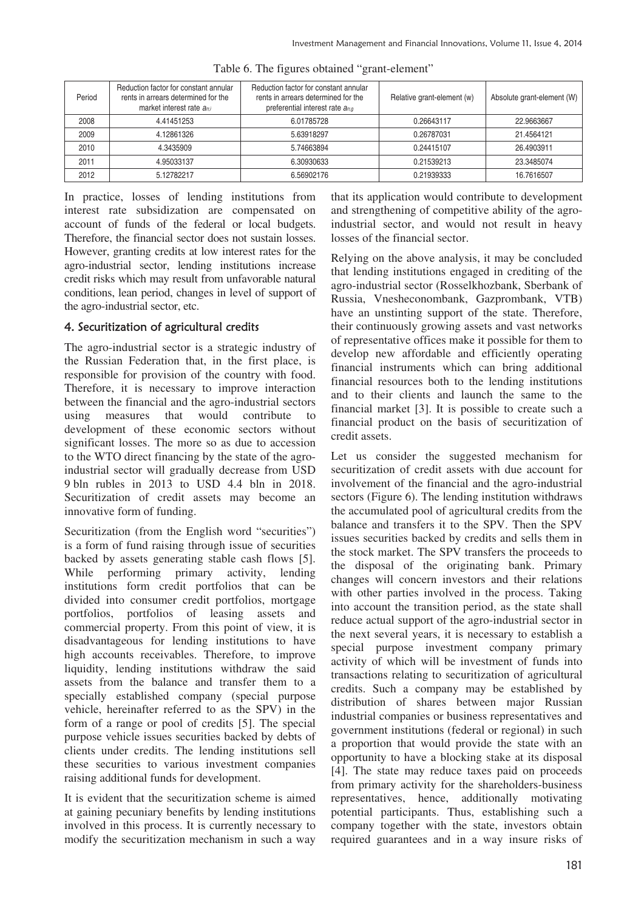| Period | Reduction factor for constant annular<br>rents in arrears determined for the<br>market interest rate $a_{ni}$ | Reduction factor for constant annular<br>rents in arrears determined for the<br>preferential interest rate $a_{n,q}$ | Relative grant-element (w) | Absolute grant-element (W) |
|--------|---------------------------------------------------------------------------------------------------------------|----------------------------------------------------------------------------------------------------------------------|----------------------------|----------------------------|
| 2008   | 4.41451253                                                                                                    | 6.01785728                                                                                                           | 0.26643117                 | 22.9663667                 |
| 2009   | 4.12861326                                                                                                    | 5.63918297                                                                                                           | 0.26787031                 | 21.4564121                 |
| 2010   | 4.3435909                                                                                                     | 5.74663894                                                                                                           | 0.24415107                 | 26.4903911                 |
| 2011   | 4.95033137                                                                                                    | 6.30930633                                                                                                           | 0.21539213                 | 23.3485074                 |
| 2012   | 5.12782217                                                                                                    | 6.56902176                                                                                                           | 0.21939333                 | 16.7616507                 |

Table 6. The figures obtained "grant-element"

In practice, losses of lending institutions from interest rate subsidization are compensated on account of funds of the federal or local budgets. Therefore, the financial sector does not sustain losses. However, granting credits at low interest rates for the agro-industrial sector, lending institutions increase credit risks which may result from unfavorable natural conditions, lean period, changes in level of support of the agro-industrial sector, etc.

# 4. Securitization of agricultural credits

The agro-industrial sector is a strategic industry of the Russian Federation that, in the first place, is responsible for provision of the country with food. Therefore, it is necessary to improve interaction between the financial and the agro-industrial sectors using measures that would contribute to development of these economic sectors without significant losses. The more so as due to accession to the WTO direct financing by the state of the agroindustrial sector will gradually decrease from USD 9 bln rubles in 2013 to USD 4.4 bln in 2018. Securitization of credit assets may become an innovative form of funding.

Securitization (from the English word "securities") is a form of fund raising through issue of securities backed by assets generating stable cash flows [5]. While performing primary activity, lending institutions form credit portfolios that can be divided into consumer credit portfolios, mortgage portfolios, portfolios of leasing assets and commercial property. From this point of view, it is disadvantageous for lending institutions to have high accounts receivables. Therefore, to improve liquidity, lending institutions withdraw the said assets from the balance and transfer them to a specially established company (special purpose vehicle, hereinafter referred to as the SPV) in the form of a range or pool of credits [5]. The special purpose vehicle issues securities backed by debts of clients under credits. The lending institutions sell these securities to various investment companies raising additional funds for development.

It is evident that the securitization scheme is aimed at gaining pecuniary benefits by lending institutions involved in this process. It is currently necessary to modify the securitization mechanism in such a way

that its application would contribute to development and strengthening of competitive ability of the agroindustrial sector, and would not result in heavy losses of the financial sector.

Relying on the above analysis, it may be concluded that lending institutions engaged in crediting of the agro-industrial sector (Rosselkhozbank, Sberbank of Russia, Vnesheconombank, Gazprombank, VTB) have an unstinting support of the state. Therefore, their continuously growing assets and vast networks of representative offices make it possible for them to develop new affordable and efficiently operating financial instruments which can bring additional financial resources both to the lending institutions and to their clients and launch the same to the financial market [3]. It is possible to create such a financial product on the basis of securitization of credit assets.

Let us consider the suggested mechanism for securitization of credit assets with due account for involvement of the financial and the agro-industrial sectors (Figure 6). The lending institution withdraws the accumulated pool of agricultural credits from the balance and transfers it to the SPV. Then the SPV issues securities backed by credits and sells them in the stock market. The SPV transfers the proceeds to the disposal of the originating bank. Primary changes will concern investors and their relations with other parties involved in the process. Taking into account the transition period, as the state shall reduce actual support of the agro-industrial sector in the next several years, it is necessary to establish a special purpose investment company primary activity of which will be investment of funds into transactions relating to securitization of agricultural credits. Such a company may be established by distribution of shares between major Russian industrial companies or business representatives and government institutions (federal or regional) in such a proportion that would provide the state with an opportunity to have a blocking stake at its disposal [4]. The state may reduce taxes paid on proceeds from primary activity for the shareholders-business representatives, hence, additionally motivating potential participants. Thus, establishing such a company together with the state, investors obtain required guarantees and in a way insure risks of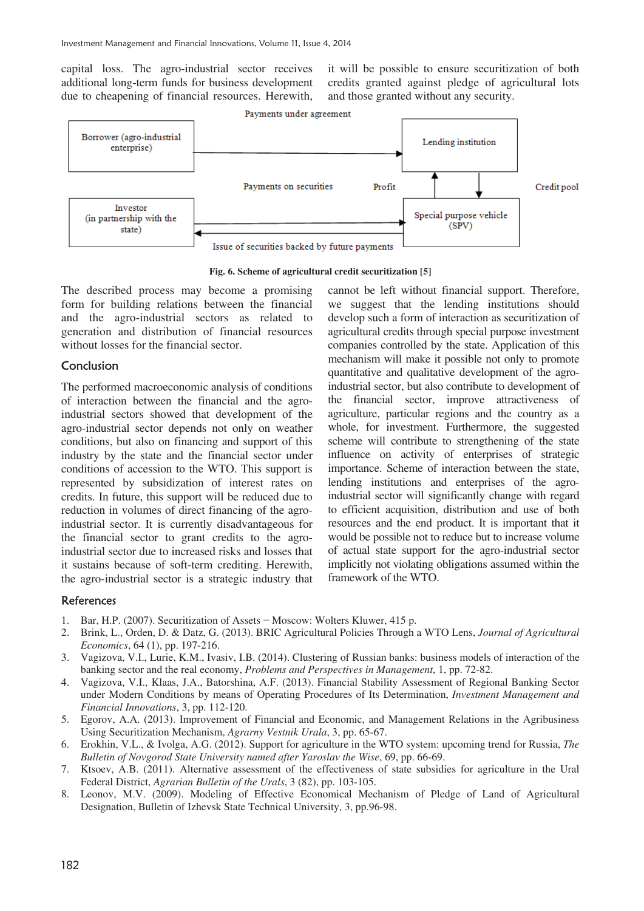capital loss. The agro-industrial sector receives additional long-term funds for business development due to cheapening of financial resources. Herewith,

it will be possible to ensure securitization of both credits granted against pledge of agricultural lots and those granted without any security.



**Fig. 6. Scheme of agricultural credit securitization [5]** 

The described process may become a promising form for building relations between the financial and the agro-industrial sectors as related to generation and distribution of financial resources without losses for the financial sector.

## Conclusion

The performed macroeconomic analysis of conditions of interaction between the financial and the agroindustrial sectors showed that development of the agro-industrial sector depends not only on weather conditions, but also on financing and support of this industry by the state and the financial sector under conditions of accession to the WTO. This support is represented by subsidization of interest rates on credits. In future, this support will be reduced due to reduction in volumes of direct financing of the agroindustrial sector. It is currently disadvantageous for the financial sector to grant credits to the agroindustrial sector due to increased risks and losses that it sustains because of soft-term crediting. Herewith, the agro-industrial sector is a strategic industry that

cannot be left without financial support. Therefore, we suggest that the lending institutions should develop such a form of interaction as securitization of agricultural credits through special purpose investment companies controlled by the state. Application of this mechanism will make it possible not only to promote quantitative and qualitative development of the agroindustrial sector, but also contribute to development of the financial sector, improve attractiveness of agriculture, particular regions and the country as a whole, for investment. Furthermore, the suggested scheme will contribute to strengthening of the state influence on activity of enterprises of strategic importance. Scheme of interaction between the state, lending institutions and enterprises of the agroindustrial sector will significantly change with regard to efficient acquisition, distribution and use of both resources and the end product. It is important that it would be possible not to reduce but to increase volume of actual state support for the agro-industrial sector implicitly not violating obligations assumed within the framework of the WTO.

## References

- 1. Bar, H.P. (2007). Securitization of Assets Moscow: Wolters Kluwer, 415 p.
- 2. Brink, L., Orden, D. & Datz, G. (2013). BRIC Agricultural Policies Through a WTO Lens, *Journal of Agricultural Economics*, 64 (1), pp. 197-216.
- 3. Vagizova, V.I., Lurie, K.M., Ivasiv, I.B. (2014). Clustering of Russian banks: business models of interaction of the banking sector and the real economy, *Problems and Perspectives in Management*, 1, pp. 72-82.
- 4. Vagizova, V.I., Klaas, J.A., Batorshina, A.F. (2013). Financial Stability Assessment of Regional Banking Sector under Modern Conditions by means of Operating Procedures of Its Determination, *Investment Management and Financial Innovations*, 3, pp. 112-120.
- 5. Egorov, A.A. (2013). Improvement of Financial and Economic, and Management Relations in the Agribusiness Using Securitization Mechanism, *Agrarny Vestnik Urala*, 3, pp. 65-67.
- 6. Erokhin, V.L., & Ivolga, A.G. (2012). Support for agriculture in the WTO system: upcoming trend for Russia, *The Bulletin of Novgorod State University named after Yaroslav the Wise*, 69, pp. 66-69.
- 7. Ktsoev, A.B. (2011). Alternative assessment of the effectiveness of state subsidies for agriculture in the Ural Federal District, *Agrarian Bulletin of the Urals*, 3 (82), pp. 103-105.
- 8. Leonov, M.V. (2009). Modeling of Effective Economical Mechanism of Pledge of Land of Agricultural Designation, Bulletin of Izhevsk State Technical University, 3, pp.96-98.